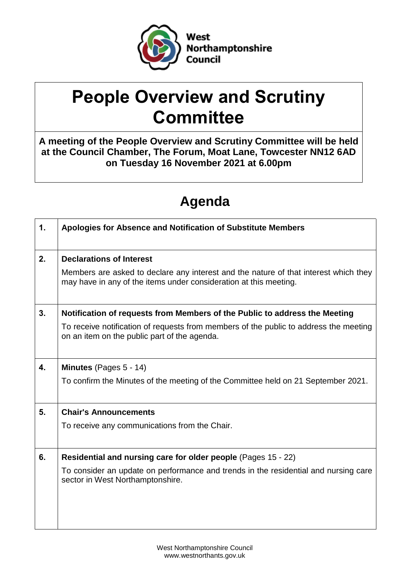

# **People Overview and Scrutiny Committee**

**A meeting of the People Overview and Scrutiny Committee will be held at the Council Chamber, The Forum, Moat Lane, Towcester NN12 6AD on Tuesday 16 November 2021 at 6.00pm**

# **Agenda**

| $\mathbf{1}$ . | Apologies for Absence and Notification of Substitute Members                                                                                              |
|----------------|-----------------------------------------------------------------------------------------------------------------------------------------------------------|
| 2.             | <b>Declarations of Interest</b>                                                                                                                           |
|                | Members are asked to declare any interest and the nature of that interest which they<br>may have in any of the items under consideration at this meeting. |
| 3.             | Notification of requests from Members of the Public to address the Meeting                                                                                |
|                | To receive notification of requests from members of the public to address the meeting<br>on an item on the public part of the agenda.                     |
| 4.             | Minutes (Pages 5 - 14)                                                                                                                                    |
|                | To confirm the Minutes of the meeting of the Committee held on 21 September 2021.                                                                         |
| 5.             | <b>Chair's Announcements</b>                                                                                                                              |
|                | To receive any communications from the Chair.                                                                                                             |
| 6.             | Residential and nursing care for older people (Pages 15 - 22)                                                                                             |
|                | To consider an update on performance and trends in the residential and nursing care<br>sector in West Northamptonshire.                                   |
|                |                                                                                                                                                           |
|                |                                                                                                                                                           |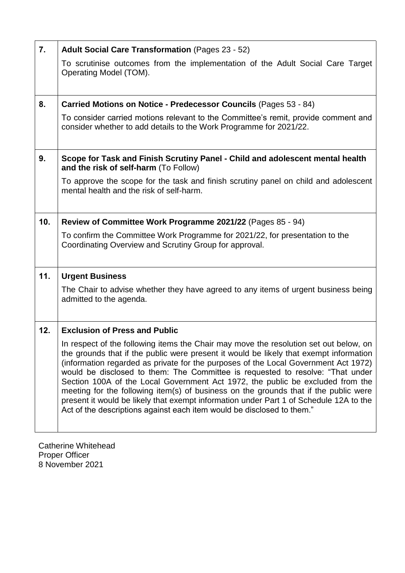| 7.  | <b>Adult Social Care Transformation (Pages 23 - 52)</b>                                                                                                                                                                                                                                                                                                                                                                                                                                                                                                                                                                                                                                                |
|-----|--------------------------------------------------------------------------------------------------------------------------------------------------------------------------------------------------------------------------------------------------------------------------------------------------------------------------------------------------------------------------------------------------------------------------------------------------------------------------------------------------------------------------------------------------------------------------------------------------------------------------------------------------------------------------------------------------------|
|     | To scrutinise outcomes from the implementation of the Adult Social Care Target<br>Operating Model (TOM).                                                                                                                                                                                                                                                                                                                                                                                                                                                                                                                                                                                               |
| 8.  | Carried Motions on Notice - Predecessor Councils (Pages 53 - 84)                                                                                                                                                                                                                                                                                                                                                                                                                                                                                                                                                                                                                                       |
|     | To consider carried motions relevant to the Committee's remit, provide comment and<br>consider whether to add details to the Work Programme for 2021/22.                                                                                                                                                                                                                                                                                                                                                                                                                                                                                                                                               |
| 9.  | Scope for Task and Finish Scrutiny Panel - Child and adolescent mental health<br>and the risk of self-harm (To Follow)                                                                                                                                                                                                                                                                                                                                                                                                                                                                                                                                                                                 |
|     | To approve the scope for the task and finish scrutiny panel on child and adolescent<br>mental health and the risk of self-harm.                                                                                                                                                                                                                                                                                                                                                                                                                                                                                                                                                                        |
| 10. | Review of Committee Work Programme 2021/22 (Pages 85 - 94)                                                                                                                                                                                                                                                                                                                                                                                                                                                                                                                                                                                                                                             |
|     | To confirm the Committee Work Programme for 2021/22, for presentation to the<br>Coordinating Overview and Scrutiny Group for approval.                                                                                                                                                                                                                                                                                                                                                                                                                                                                                                                                                                 |
| 11. | <b>Urgent Business</b>                                                                                                                                                                                                                                                                                                                                                                                                                                                                                                                                                                                                                                                                                 |
|     | The Chair to advise whether they have agreed to any items of urgent business being<br>admitted to the agenda.                                                                                                                                                                                                                                                                                                                                                                                                                                                                                                                                                                                          |
| 12. | <b>Exclusion of Press and Public</b>                                                                                                                                                                                                                                                                                                                                                                                                                                                                                                                                                                                                                                                                   |
|     | In respect of the following items the Chair may move the resolution set out below, on<br>the grounds that if the public were present it would be likely that exempt information<br>(information regarded as private for the purposes of the Local Government Act 1972)<br>would be disclosed to them: The Committee is requested to resolve: "That under<br>Section 100A of the Local Government Act 1972, the public be excluded from the<br>meeting for the following item(s) of business on the grounds that if the public were<br>present it would be likely that exempt information under Part 1 of Schedule 12A to the<br>Act of the descriptions against each item would be disclosed to them." |

Catherine Whitehead Proper Officer 8 November 2021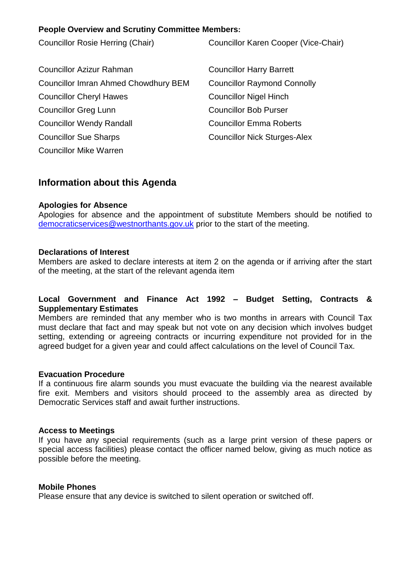#### **People Overview and Scrutiny Committee Members:**

Councillor Rosie Herring (Chair) Councillor Karen Cooper (Vice-Chair) Councillor Azizur Rahman Councillor Harry Barrett Councillor Imran Ahmed Chowdhury BEM Councillor Raymond Connolly Councillor Cheryl Hawes Councillor Nigel Hinch Councillor Greg Lunn Councillor Bob Purser Councillor Wendy Randall Councillor Emma Roberts Councillor Sue Sharps Councillor Nick Sturges-Alex

## **Information about this Agenda**

#### **Apologies for Absence**

Councillor Mike Warren

Apologies for absence and the appointment of substitute Members should be notified to [democraticservices@westnorthants.gov.uk](mailto:democraticservices@westnorthants.gov.uk) prior to the start of the meeting.

#### **Declarations of Interest**

Members are asked to declare interests at item 2 on the agenda or if arriving after the start of the meeting, at the start of the relevant agenda item

#### **Local Government and Finance Act 1992 – Budget Setting, Contracts & Supplementary Estimates**

Members are reminded that any member who is two months in arrears with Council Tax must declare that fact and may speak but not vote on any decision which involves budget setting, extending or agreeing contracts or incurring expenditure not provided for in the agreed budget for a given year and could affect calculations on the level of Council Tax.

#### **Evacuation Procedure**

If a continuous fire alarm sounds you must evacuate the building via the nearest available fire exit. Members and visitors should proceed to the assembly area as directed by Democratic Services staff and await further instructions.

#### **Access to Meetings**

If you have any special requirements (such as a large print version of these papers or special access facilities) please contact the officer named below, giving as much notice as possible before the meeting.

#### **Mobile Phones**

Please ensure that any device is switched to silent operation or switched off.